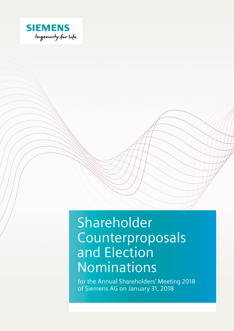

# Shareholder Counterproposals and Election Nominations

for the Annual Shareholders' Meeting 2018 of Siemens AG on January 31, 2018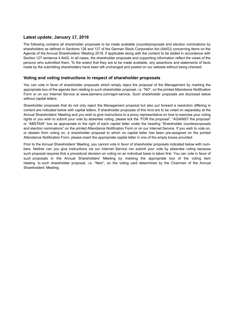#### **Latest update: January 17, 2018**

The following contains all shareholder proposals to be made available (counterproposals and election nominations by shareholders as defined in Sections 126 and 127 of the German Stock Corporation Act (AktG)) concerning items on the Agenda of the Annual Shareholders' Meeting 2018, if applicable along with the content to be added in accordance with Section 127 sentence 4 AktG. In all cases, the shareholder proposals and supporting information reflect the views of the persons who submitted them. To the extent that they are to be made available, any assertions and statements of facts made by the submitting shareholders have been left unchanged and posted on our website without being checked.

#### **Voting and voting instructions in respect of shareholder proposals**

You can vote in favor of shareholder proposals which simply reject the proposal of the Management by marking the appropriate box of the agenda item relating to such shareholder proposal, i.e. "NO", on the printed Attendance Notification Form or on our Internet Service at www.siemens.com/agm-service. Such shareholder proposals are disclosed below without capital letters.

Shareholder proposals that do not only reject the Management proposal but also put forward a resolution differing in content are indicated below with capital letters. If shareholder proposals of this kind are to be voted on separately at the Annual Shareholders' Meeting and you wish to give instructions to a proxy representative on how to exercise your voting rights or you wish to submit your vote by absentee voting, please tick the "FOR the proposal", "AGAINST the proposal" or "ABSTAIN" box as appropriate to the right of each capital letter under the heading "Shareholder counterproposals and election nominations" on the printed Attendance Notification Form or on our Internet Service. If you wish to vote on, or abstain from voting on, a shareholder proposal to which no capital letter has been pre-assigned on the printed Attendance Notification Form, please insert the appropriate capital letter in one of the empty boxes provided.

Prior to the Annual Shareholders' Meeting, you cannot vote in favor of shareholder proposals indicated below with numbers. Neither can you give instructions via our Internet Service nor submit your vote by absentee voting because such proposal requires that a procedural decision on voting on an individual basis is taken first. You can vote in favor of such proposals in the Annual Shareholders' Meeting by marking the appropriate box of the voting item relating to such shareholder proposal, i.e. "Nein", on the voting card determined by the Chairman of the Annual Shareholders' Meeting.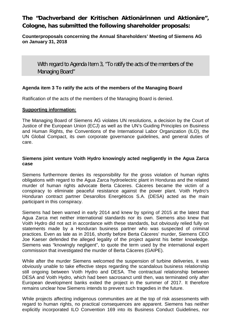# **The "Dachverband der Kritischen Aktionärinnen und Aktionäre", Cologne, has submitted the following shareholder proposals:**

#### **Counterproposals concerning the Annual Shareholders' Meeting of Siemens AG on January 31, 2018**

With regard to Agenda Item 3, "To ratify the acts of the members of the Managing Board"

## **Agenda item 3 To ratify the acts of the members of the Managing Board**

Ratification of the acts of the members of the Managing Board is denied.

#### **Supporting information:**

The Managing Board of Siemens AG violates UN resolutions, a decision by the Court of Justice of the European Union (ECJ) as well as the UN's Guiding Principles on Business and Human Rights, the Conventions of the International Labor Organization (ILO), the UN Global Compact, its own corporate governance guidelines, and general duties of care.

#### **Siemens joint venture Voith Hydro knowingly acted negligently in the Agua Zarca case**

Siemens furthermore denies its responsibility for the gross violation of human rights obligations with regard to the Agua Zarca hydroelectric plant in Honduras and the related murder of human rights advocate Berta Cáceres. Cáceres became the victim of a conspiracy to eliminate peaceful resistance against the power plant. Voith Hydro's Honduran contract partner Desarollos Energéticos S.A. (DESA) acted as the main participant in this conspiracy.

Siemens had been warned in early 2014 and knew by spring of 2015 at the latest that Agua Zarca met neither international standards nor its own. Siemens also knew that Voith Hydro did not act in accordance with these standards, but obviously relied fully on statements made by a Honduran business partner who was suspected of criminal practices. Even as late as in 2016, shortly before Berta Cáceres' murder, Siemens CEO Joe Kaeser defended the alleged legality of the project against his better knowledge. Siemens was "knowingly negligent", to quote the term used by the international expert commission that investigated the murder of Berta Cáceres (GAIPE).

While after the murder Siemens welcomed the suspension of turbine deliveries, it was obviously unable to take effective steps regarding the scandalous business relationship still ongoing between Voith Hydro and DESA. The contractual relationship between DESA and Voith Hydro, which had been sacrosanct until then, was terminated only after European development banks exited the project in the summer of 2017. It therefore remains unclear how Siemens intends to prevent such tragedies in the future.

While projects affecting indigenous communities are at the top of risk assessments with regard to human rights, no practical consequences are apparent. Siemens has neither explicitly incorporated ILO Convention 169 into its Business Conduct Guidelines, nor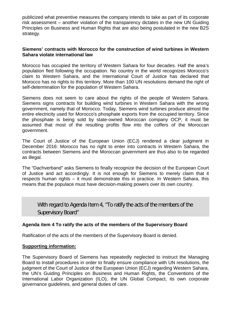publicized what preventive measures the company intends to take as part of its corporate risk assessment – another violation of the transparency dictates in the new UN Guiding Principles on Business and Human Rights that are also being postulated in the new B2S strategy.

#### **Siemens' contracts with Morocco for the construction of wind turbines in Western Sahara violate international law**

Morocco has occupied the territory of Western Sahara for four decades. Half the area's population fled following the occupation. No country in the world recognizes Morocco's claim to Western Sahara, and the International Court of Justice has declared that Morocco has no rights to this territory. More than 100 UN resolutions demand the right of self-determination for the population of Western Sahara.

Siemens does not seem to care about the rights of the people of Western Sahara. Siemens signs contracts for building wind turbines in Western Sahara with the wrong government, namely that of Morocco. Today, Siemens wind turbines produce almost the entire electricity used for Morocco's phosphate exports from the occupied territory. Since the phosphate is being sold by state-owned Moroccan company OCP, it must be assumed that most of the resulting profits flow into the coffers of the Moroccan government.

The Court of Justice of the European Union (ECJ) rendered a clear judgment in December 2016: Morocco has no right to enter into contracts in Western Sahara, the contracts between Siemens and the Moroccan government are thus also to be regarded as illegal.

The "Dachverband" asks Siemens to finally recognize the decision of the European Court of Justice and act accordingly. It is not enough for Siemens to merely claim that it respects human rights – it must demonstrate this in practice. In Western Sahara, this means that the populace must have decision-making powers over its own country.

With regard to Agenda Item 4, "To ratify the acts of the members of the Supervisory Board"

## **Agenda item 4 To ratify the acts of the members of the Supervisory Board**

Ratification of the acts of the members of the Supervisory Board is denied.

#### **Supporting information:**

The Supervisory Board of Siemens has repeatedly neglected to instruct the Managing Board to install procedures in order to finally ensure compliance with UN resolutions, the judgment of the Court of Justice of the European Union (ECJ) regarding Western Sahara, the UN's Guiding Principles on Business and Human Rights, the Conventions of the International Labor Organization (ILO), the UN Global Compact, its own corporate governance guidelines, and general duties of care.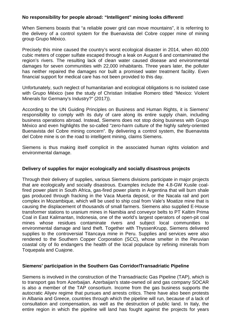#### **No responsibility for people abroad: "Intelligent" mining looks different!**

When Siemens boasts that "a reliable power grid can move mountains", it is referring to the delivery of a control system for the Buenavista del Cobre copper mine of mining group Grupo México.

Precisely this mine caused the country's worst ecological disaster in 2014, when 40,000 cubic meters of copper sulfate escaped through a leak on August 6 and contaminated the region's rivers. The resulting lack of clean water caused disease and environmental damages for seven communities with 22,000 inhabitants. Three years later, the polluter has neither repaired the damages nor built a promised water treatment facility. Even financial support for medical care has not been provided to this day.

Unfortunately, such neglect of humanitarian and ecological obligations is no isolated case with Grupo México (see the study of Christian Initiative Romero titled "Mexico: Violent Minerals for Germany's Industry?" (2017)).

According to the UN Guiding Principles on Business and Human Rights, it is Siemens' responsibility to comply with its duty of care along its entire supply chain, including business operations abroad. Instead, Siemens does not stop doing business with Grupo México and even highlights the so-called "zero-harm culture of the highly safety-oriented Buenavista del Cobre mining concern". By delivering a control system, the Buenavista del Cobre mine is on the road to intelligent mining, claims Siemens.

Siemens is thus making itself complicit in the associated human rights violation and environmental damage.

#### **Delivery of supplies for major ecologically and socially disastrous projects**

Through their delivery of supplies, various Siemens divisions participate in major projects that are ecologically and socially disastrous. Examples include the 4.8-GW Kusile coalfired power plant in South Africa, gas-fired power plants in Argentina that will burn shale gas produced through fracking in the Vaca Muerta deposit, or the Nacala rail and port complex in Mozambique, which will be used to ship coal from Vale's Moatize mine that is causing the displacement of thousands of small farmers. Siemens also supplied E-House transformer stations to uranium mines in Namibia and conveyor belts to PT Kaltim Prima Coal in East Kalimantan, Indonesia, one of the world's largest operators of open-pit coal mines whose residues contaminate rivers and subject local communities to environmental damage and land theft. Together with ThyssenKrupp, Siemens delivered supplies to the controversial Titancaya mine in Peru. Supplies and services were also rendered to the Southern Copper Corporation (SCC), whose smelter in the Peruvian coastal city of Ilo endangers the health of the local populace by refining minerals from Toquepala and Cuajone.

#### **Siemens' participation in the Southern Gas Corridor/Transadriatic Pipeline**

Siemens is involved in the construction of the Transadriactic Gas Pipeline (TAP), which is to transport gas from Azerbaijan. Azerbaijan's state-owned oil and gas company SOCAR is also a member of the TAP consortium. Income from the gas business supports the autocratic Aliyev regime that pursues and arrests critics. There have also been protests in Albania and Greece, countries through which the pipeline will run, because of a lack of consultation and compensation, as well as the destruction of public land. In Italy, the entire region in which the pipeline will land has fought against the projects for years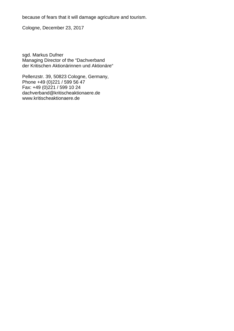because of fears that it will damage agriculture and tourism.

Cologne, December 23, 2017

sgd. Markus Dufner Managing Director of the "Dachverband der Kritischen Aktionärinnen und Aktionäre"

Pellenzstr. 39, 50823 Cologne, Germany, Phone +49 (0) 221 / 599 56 47 Fax: +49 (0)221 / 599 10 24 dachverband@kritischeaktionaere.de www.kritischeaktionaere.de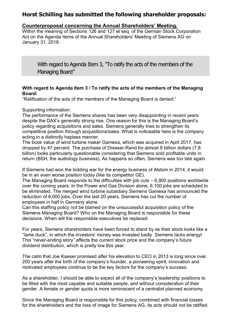## **Horst Schilling has submitted the following shareholder proposals:**

#### **Counterproposal concerning the Annual Shareholders' Meeting.**

Within the meaning of Sections 126 and 127 et seq. of the German Stock Corporation Act on the Agenda Items of the Annual Shareholders' Meeting of Siemens AG on January 31, 2018.

With regard to Agenda Item 3, "To ratify the acts of the members of the Managing Board"

#### **With regard to Agenda Item 3 / To ratify the acts of the members of the Managing Board:**

"Ratification of the acts of the members of the Managing Board is denied."

#### Supporting information:

The performance of the Siemens shares has been very disappointing in recent years despite the DAX's generally strong rise. One reason for this is the Managing Board's policy regarding acquisitions and sales. Siemens generally tries to strengthen its competitive position through acquisitions/sales. What is noticeable here is the company acting in a distinctly hapless manner.

The book value of wind turbine maker Gamesa, which was acquired in April 2017, has dropped by 47 percent. The purchase of Dresser-Rand for almost 8 billion dollars (7.8 billion) looks particularly questionable considering that Siemens sold profitable units in return (BSH, the audiology business). As happens so often, Siemens was too late again.

If Siemens had won the bidding war for the energy business of Alstom in 2014, it would be in an even worse position today (like its competitor GE).

The Managing Board responds to the difficulties with job cuts – 6,900 positions worldwide over the coming years. In the Power and Gas Division alone, 6,100 jobs are scheduled to be eliminated. The merged wind turbine subsidiary Siemens Gamesa has announced the reduction of 6,000 jobs. Over the last 20 years, Siemens has cut the number of employees in half in Germany alone.

Can this staffing policy not be blamed on the unsuccessful acquisition policy of the Siemens Managing Board? Who on the Managing Board is responsible for these decisions. When will the responsible executives be replaced.

For years, Siemens shareholders have been forced to stand by as their stock looks like a "lame duck", in which the investors' money was invested badly. Siemens lacks energy! This "never-ending story" affects the current stock price and the company's future dividend distribution, which is pretty low this year.

The calm that Joe Kaeser promised after his elevation to CEO in 2013 is long since over. 200 years after the birth of the company's founder, a pioneering spirit, innovation and motivated employees continue to be the key factors for the company's success.

As a shareholder, I should be able to expect all of the company's leadership positions to be filled with the most capable and suitable people, and without consideration of their gender. A female or gender quota is more reminiscent of a centralist planned economy.

Since the Managing Board is responsible for this policy, combined with financial losses for the shareholders and the loss of image for Siemens AG, its acts should not be ratified.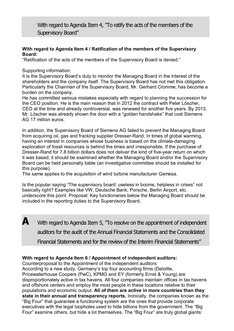With regard to Agenda Item 4, "To ratify the acts of the members of the Supervisory Board"

#### **With regard to Agenda Item 4 / Ratification of the members of the Supervisory Board:**

"Ratification of the acts of the members of the Supervisory Board is denied."

Supporting information:

It is the Supervisory Board's duty to monitor the Managing Board in the interest of the shareholders and the company itself. The Supervisory Board has not met this obligation. Particularly the Chairman of the Supervisory Board, Mr. Gerhard Cromme, has become a burden on the company.

He has committed serious mistakes especially with regard to planning the succession for the CEO position. He is the main reason that in 2012 the contract with Peter Löscher, CEO at the time and already controversial, was renewed for another five years. By 2013, Mr. Löscher was already shown the door with a "golden handshake" that cost Siemens AG 17 million euros.

In addition, the Supervisory Board of Siemens AG failed to prevent the Managing Board from acquiring oil, gas and fracking supplier Dresser-Rand. In times of global warming, having an interest in companies whose business is based on the climate-damaging exploration of fossil resources is behind the times and irresponsible. If the purchase of Dresser-Rand for 7.8 billion dollars does not deliver the kind of five-year return on which it was based, it should be examined whether the Managing Board and/or the Supervisory Board can be held personally liable (an investigative committee should be installed for this purpose).

The same applies to the acquisition of wind turbine manufacturer Gamesa.

Is the popular saying "The supervisory board: useless in booms, helpless in crises" not basically right? Examples like VW, Deutsche Bank, Porsche, Berlin Airport, etc. underscore this point. Proposal: Key functionaries below the Managing Board should be included in the reporting duties to the Supervisory Board.

**A** With regard to Agenda Item 5, 'To resolve on the appointment of independent

auditors for the audit of the Annual Financial Statements and the Consolidated

Financial Statements and for the review of the Interim Financial Statements"

## **With regard to Agenda Item 6 / Appointment of independent auditors:**

Counterproposal to the Appointment of the independent auditors:

According to a new study, Germany's top four accounting firms (Deloitte, Pricewaterhouse Coopers (PwC), KPMG and EY (formerly Ernst & Young) are disproportionately active in tax havens. All four companies maintain offices in tax havens and offshore centers and employ the most people in these locations relative to their populations and economic output. **All of them are active in more countries than they state in their annual and transparency reports.** Ironically, the companies known as the "Big Four" that guarantee a functioning system are the ones that provide corporate executives with the legal loopholes used to hide billions from the government. The "Big Four" examine others, but hide a lot themselves. The "Big Four" are truly global giants: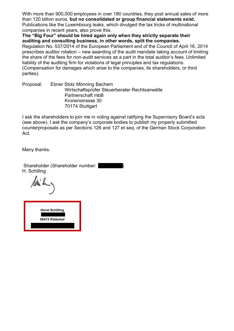With more than 900,000 employees in over 180 countries, they post annual sales of more than 120 billion euros, **but no consolidated or group financial statements exist.** Publications like the Luxembourg leaks, which divulged the tax tricks of multinational companies in recent years, also prove this.

**The "Big Four" should be hired again only when they strictly separate their auditing and consulting business, in other words, split the companies.**

Regulation No. 537/2014 of the European Parliament and of the Council of April 16, 2014 prescribes auditor rotation – new awarding of the audit mandate taking account of limiting the share of the fees for non-audit services as a part in the total auditor's fees. Unlimited liability of the auditing firm for violations of legal principles and tax regulations. (Compensation for damages which arise to the companies, its shareholders, or third parties).

Proposal: Ebner Stolz Mönning Bachem Wirtschaftsprüfer Steuerberater Rechtsanwälte Partnerschaft mbB Kronenstrasse 30 70174 Stuttgart

I ask the shareholders to join me in voting against ratifying the Supervisory Board's acts (see above). I ask the company's corporate bodies to publish my properly submitted counterproposals as per Sections 126 and 127 et seq. of the German Stock Corporation Act.

Many thanks.

Shareholder (Shareholder number: H. Schilling

**Horst Schilling 96472 Rödental**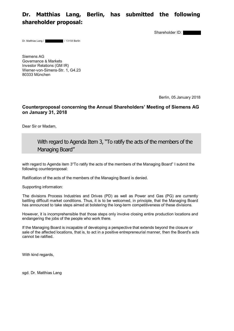## **Dr. Matthias Lang, Berlin, has submitted the following shareholder proposal:**

Shareholder ID:

Dr. Matthias Lang / / 13158 Berlin

Siemens AG Governance & Markets Investor Relations (GM IR) Werner-von-Simens-Str. 1, G4.23 80333 München

Berlin, 05.January 2018

#### **Counterproposal concerning the Annual Shareholders' Meeting of Siemens AG on January 31, 2018**

Dear Sir or Madam,

## With regard to Agenda Item 3, "To ratify the acts of the members of the Managing Board"

with regard to Agenda item 3"To ratify the acts of the members of the Managing Board" I submit the following counterproposal:

Ratification of the acts of the members of the Managing Board is denied.

Supporting information:

The divisions Process Industries and Drives (PD) as well as Power and Gas (PG) are currently battling difficult market conditions. Thus, it is to be welcomed, in principle, that the Managing Board has announced to take steps aimed at bolstering the long-term competitiveness of these divisions.

However, it is incomprehensible that those steps only involve closing entire production locations and endangering the jobs of the people who work there.

If the Managing Board is incapable of developing a perspective that extends beyond the closure or sale of the affected locations, that is, to act in a positive entrepreneurial manner, then the Board's acts cannot be ratified.

With kind regards,

sgd. Dr. Matthias Lang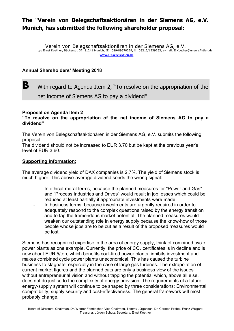# **The "Verein von Belegschaftsaktionären in der Siemens AG, e.V. Munich, has submitted the following shareholder proposal:**

Verein von Belegschaftsaktionären in der Siemens AG, e.V. c/o Ernst Koether, Bäckerstr. 37, 81241 Munich, ☎ 089/89670229, 03212/1239263, e-mail: E.Koether@unsereAktien.de **www.UnsereAktien.de**

## **Annual Shareholders' Meeting 2018**

# **B** With regard to Agenda Item 2, "To resolve on the appropriation of the net income of Siemens AG to pay a dividend"

#### **Proposal on Agenda Item 2**

**"To resolve on the appropriation of the net income of Siemens AG to pay a dividend"**

The Verein von Belegschaftsaktionären in der Siemens AG, e.V. submits the following proposal:

The dividend should not be increased to EUR 3.70 but be kept at the previous year's level of EUR 3.60.

#### **Supporting information:**

The average dividend yield of DAX companies is 2.7%. The yield of Siemens stock is much higher. This above-average dividend sends the wrong signal:

- In ethical-moral terms, because the planned measures for "Power and Gas" and "Process Industries and Drives" would result in job losses which could be reduced at least partially if appropriate investments were made.
- In business terms, because investments are urgently required in order to adequately respond to the complex questions raised by the energy transition and to tap the tremendous market potential. The planned measures would weaken our outstanding role in energy supply because the know-how of those people whose jobs are to be cut as a result of the proposed measures would be lost.

Siemens has recognized expertise in the area of energy supply, think of combined cycle power plants as one example. Currently, the price of  $CO<sub>2</sub>$  certificates is in decline and is now about EUR 5/ton, which benefits coal-fired power plants, inhibits investment and makes combined cycle power plants uneconomical. This has caused the turbine business to stagnate, especially in the case of large gas turbines. The extrapolation of current market figures and the planned cuts are only a business view of the issues without entrepreneurial vision and without tapping the potential which, above all else, does not do justice to the complexity of energy provision. The requirements of a future energy-supply system will continue to be shaped by three considerations: Environmental compatibility, supply security and cost-effectiveness. The general framework will most probably change.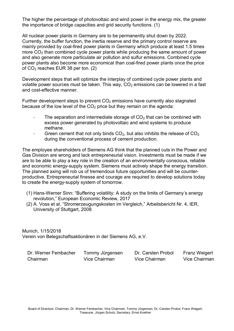The higher the percentage of photovoltaic and wind power in the energy mix, the greater the importance of bridge capacities and grid security functions. (1)

All nuclear power plants in Germany are to be permanently shut down by 2022. Currently, the buffer function, the inertia reserve and the primary control reserve are mainly provided by coal-fired power plants in Germany which produce at least 1.5 times more  $CO<sub>2</sub>$  than combined cycle power plants while producing the same amount of power and also generate more particulate air pollution and sulfur emissions. Combined cycle power plants also become more economical than coal-fired power plants once the price of  $CO<sub>2</sub>$  reaches EUR 38 per ton. (2)

Development steps that will optimize the interplay of combined cycle power plants and volatile power sources must be taken. This way,  $CO<sub>2</sub>$  emissions can be lowered in a fast and cost-effective manner.

Further development steps to prevent  $CO<sub>2</sub>$  emissions have currently also stagnated because of the low level of the  $CO<sub>2</sub>$  price but they remain on the agenda:

- The separation and intermediate storage of  $CO<sub>2</sub>$  that can be combined with excess power generated by photovoltaic and wind systems to produce methane.
- Green cement that not only binds  $CO<sub>2</sub>$ , but also inhibits the release of  $CO<sub>2</sub>$ during the conventional process of cement production.

The employee shareholders of Siemens AG think that the planned cuts in the Power and Gas Division are wrong and lack entrepreneurial vision. Investments must be made if we are to be able to play a key role in the creation of an environmentally conscious, reliable and economic energy-supply system. Siemens must actively shape the energy transition. The planned axing will rob us of tremendous future opportunities and will be counterproductive. Entrepreneurial finesse and courage are required to develop solutions today to create the energy-supply system of tomorrow.

- (1) Hans-Werner Sinn: "Buffering volatility: A study on the limits of Germany's energy revolution," European Economic Review, 2017
- (2) A. Voss et al, "Stromerzeugungskosten im Vergleich," Arbeitsbericht Nr. 4, IER, University of Stuttgart, 2008

Munich, 1/15/2018 Verein von Belegschaftsaktionären in der Siemens AG, e.V.

| Dr. Werner Fembacher | Tommy Jürgensen | Dr. Carsten Probol | <b>Franz Weigert</b> |
|----------------------|-----------------|--------------------|----------------------|
| Chairman             | Vice Chairman   | Vice Chairman      | Vice Chairman        |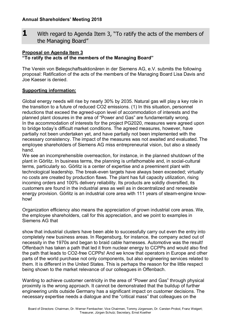**1** With regard to Agenda Item 3, "To ratify the acts of the members of the Managing Board"

#### **Proposal on Agenda Item 3 "To ratify the acts of the members of the Managing Board"**

The Verein von Belegschaftsaktionären in der Siemens AG, e.V. submits the following proposal: Ratification of the acts of the members of the Managing Board Lisa Davis and Joe Kaeser is denied.

## **Supporting information:**

Global energy needs will rise by nearly 30% by 2035. Natural gas will play a key role in the transition to a future of reduced CO2 emissions. (1) In this situation, personnel reductions that exceed the agreed-upon level of accommodation of interests and the planned plant closures in the area of "Power and Gas" are fundamentally wrong. In the accommodation of interests for the project PG2020, measures were agreed upon to bridge today's difficult market conditions. The agreed measures, however, have partially not been undertaken yet, and have partially not been implemented with the necessary consistency. The impact of the measures was not awaited and evaluated. The employee shareholders of Siemens AG miss entrepreneurial vision, but also a steady hand.

We see an incomprehensible overreaction, for instance, in the planned shutdown of the plant in Görlitz. In business terms, the planning is unfathomable and, in social-cultural terms, particularly so. Görlitz is a center of expertise and a preeminent plant with technological leadership. The break-even targets have always been exceeded; virtually no costs are created by production flaws. The plant has full capacity utilization, rising incoming orders and 100% delivery reliability. Its products are solidly diversified, its customers are found in the industrial area as well as in decentralized and renewable energy provision. Görlitz is an industrial core area with 111 years of steam-engine knowhow!

Organization efficiency also means the appreciation of grown industrial core areas. We, the employee shareholders, call for this appreciation, and we point to examples in Siemens AG that

show that industrial clusters have been able to successfully carry out even the entry into completely new business areas. In Regensburg, for instance, the company acted out of necessity in the 1970s and began to braid cable harnesses. Automotive was the result! Offenbach has taken a path that led it from nuclear energy to CCPPs and would also find the path that leads to CO2-free CCPPs! And we know that operators in Europe and other parts of the world purchase not only components, but also engineering services related to them. It is different in the United States. This is perhaps the reason for the little respect being shown to the market relevance of our colleagues in Offenbach.

Wanting to achieve customer centricity in the area of "Power and Gas" through physical proximity is the wrong approach. It cannot be demonstrated that the buildup of further engineering units outside Germany has a significant impact on customer decisions. The necessary expertise needs a dialogue and the "critical mass" that colleagues on the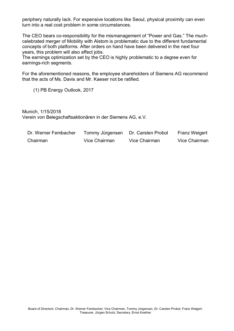periphery naturally lack. For expensive locations like Seoul, physical proximity can even turn into a real cost problem in some circumstances.

The CEO bears co-responsibility for the mismanagement of "Power and Gas." The muchcelebrated merger of Mobility with Alstom is problematic due to the different fundamental concepts of both platforms. After orders on hand have been delivered in the next four years, this problem will also affect jobs.

The earnings optimization set by the CEO is highly problematic to a degree even for earnings-rich segments.

For the aforementioned reasons, the employee shareholders of Siemens AG recommend that the acts of Ms. Davis and Mr. Kaeser not be ratified.

(1) PB Energy Outlook, 2017

Munich, 1/15/2018 Verein von Belegschaftsaktionären in der Siemens AG, e.V.

| Dr. Werner Fembacher | Tommy Jürgensen | Dr. Carsten Probol | <b>Franz Weigert</b> |
|----------------------|-----------------|--------------------|----------------------|
| Chairman             | Vice Chairman   | Vice Chairman      | Vice Chairman        |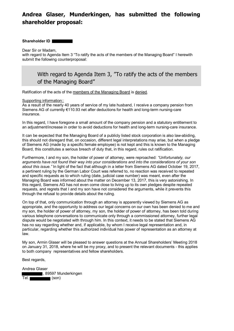# **Andrea Glaser, Munderkingen, has submitted the following shareholder proposal:**

#### **Shareholder ID**

Dear Sir or Madam,

with regard to Agenda Item 3 "To ratify the acts of the members of the Managing Board" I herewith submit the following counterproposal:

With regard to Agenda Item 3, "To ratify the acts of the members of the Managing Board"

Ratification of the acts of the members of the Managing Board is denied.

#### Supporting information::

As a result of the nearly 40 years of service of my late husband, I receive a company pension from Siemens AG of currently €110.93 net after deductions for health and long-term nursing-care insurance.

In this regard, I have foregone a small amount of the company pension and a statutory entitlement to an adjustment/increase in order to avoid deductions for health and long-term nursing-care insurance.

It can be expected that the Managing Board of a publicly listed stock corporation is also law-abiding, this should not disregard that, on occasion, different legal interpretations may arise, but when a pledge of Siemens AG (made by a specific female employee) is not kept and this is known to the Managing Board, this constitutes a serious breach of duty that, in this regard, rules out ratification.

Furthermore, I and my son, the holder of power of attorney, were reproached: *"Unfortunately, our arguments have not found their way into your considerations and into the considerations of your son about this issue."* In light of the fact that although in a letter from Siemens AG dated October 19, 2017, a pertinent ruling by the German Labor Court was referred to, no reaction was received to repeated and specific requests as to which ruling (date, judicial case number) was meant, even after the Managing Board was informed about the matter on December 13, 2017, this is very astonishing. In this regard, Siemens AG has not even come close to living up to its own pledges despite repeated requests, and regrets that I and my son have not considered the arguments, while it prevents this through the refusal to provide details about the ruling.

On top of that, only communication through an attorney is apparently viewed by Siemens AG as appropriate, and the opportunity to address our legal concerns on our own has been denied to me and my son, the holder of power of attorney, my son, the holder of power of attorney, has been told during various telephone conversations to communicate only through a commissioned attorney, further legal dispute would be negotiated with through him. In this context, it needs to be stated that Siemens AG has no say regarding whether and, if applicable, by whom I receive legal representation and, in particular, regarding whether this authorized individual has power of representation as an attorney at law.

My son, Armin Glaser will be pleased to answer questions at the Annual Shareholders' Meeting 2018 on January 31, 2018, where he will be my proxy, and to present the relevant documents - this applies to both company representatives and fellow shareholders.

Best regards,

Andrea Glaser , 89597 Munderkingen Tel.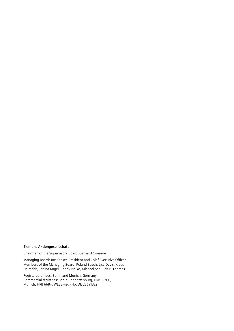#### **Siemens Aktiengesellschaft**

Chairman of the Supervisory Board: Gerhard Cromme

Managing Board: Joe Kaeser, President and Chief Executive Officer Members of the Managing Board: Roland Busch, Lisa Davis, Klaus Helmrich, Janina Kugel, Cedrik Neike, Michael Sen, Ralf P. Thomas

Registered offices: Berlin and Munich, Germany Commercial registries: Berlin Charlottenburg, HRB 12300, Munich, HRB 6684; WEEE-Reg.-No. DE 23691322